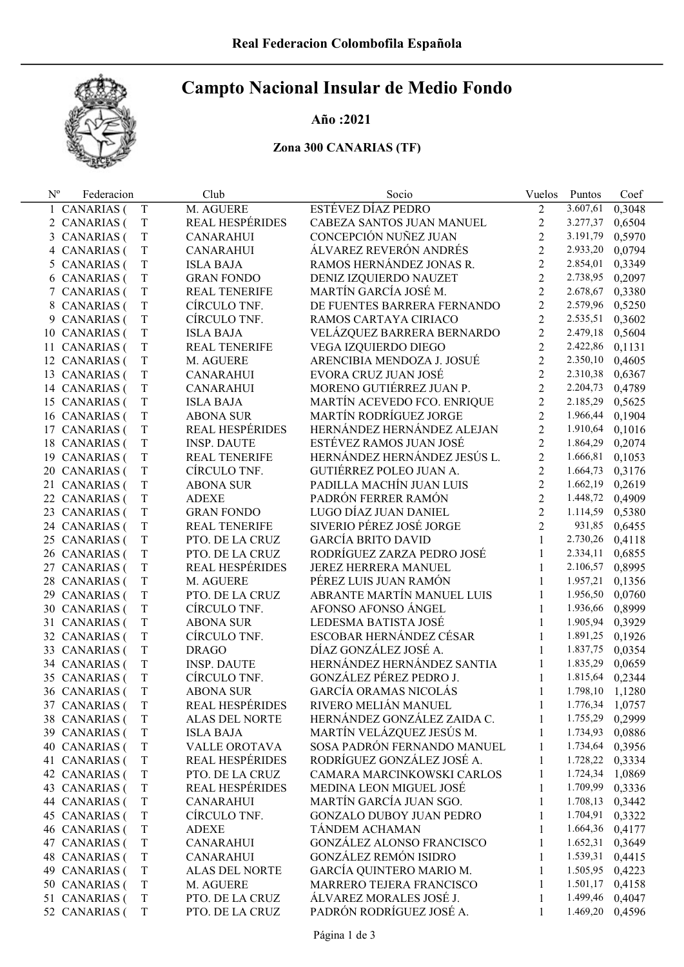# Campto Nacional Insular de Medio Fondo

### Año :2021

## Zona 300 CANARIAS (TF)

| $N^{o}$ | Federacion        |             | Club                   | Socio                            | Vuelos         | Puntos   | Coef   |
|---------|-------------------|-------------|------------------------|----------------------------------|----------------|----------|--------|
|         | 1 CANARIAS (      | T           | M. AGUERE              | ESTÉVEZ DÍAZ PEDRO               | $\overline{c}$ | 3.607,61 | 0,3048 |
|         | 2 CANARIAS (      | $\mathbf T$ | REAL HESPÉRIDES        | CABEZA SANTOS JUAN MANUEL        | $\overline{2}$ | 3.277,37 | 0,6504 |
|         | 3 CANARIAS (      | $\rm T$     | <b>CANARAHUI</b>       | CONCEPCIÓN NUÑEZ JUAN            | $\overline{2}$ | 3.191,79 | 0,5970 |
|         | 4 CANARIAS (      | $\rm T$     | <b>CANARAHUI</b>       | ÁLVAREZ REVERÓN ANDRÉS           | $\overline{2}$ | 2.933,20 | 0,0794 |
|         | 5 CANARIAS (      | $\rm T$     | <b>ISLA BAJA</b>       | RAMOS HERNÁNDEZ JONAS R.         | $\overline{2}$ | 2.854,01 | 0,3349 |
|         | 6 CANARIAS (      | $\rm T$     | <b>GRAN FONDO</b>      | DENIZ IZQUIERDO NAUZET           | $\overline{2}$ | 2.738,95 | 0,2097 |
|         | 7 CANARIAS (      | $\rm T$     | <b>REAL TENERIFE</b>   | MARTÍN GARCÍA JOSÉ M.            | $\overline{2}$ | 2.678,67 | 0,3380 |
| 8       | <b>CANARIAS</b> ( | $\mathbf T$ | CÍRCULO TNF.           | DE FUENTES BARRERA FERNANDO      | $\overline{2}$ | 2.579,96 | 0,5250 |
|         | 9 CANARIAS (      | $\mathbf T$ | CÍRCULO TNF.           | RAMOS CARTAYA CIRIACO            | $\overline{2}$ | 2.535,51 | 0,3602 |
|         | 10 CANARIAS (     | $\mathbf T$ | <b>ISLA BAJA</b>       | VELÁZQUEZ BARRERA BERNARDO       | $\overline{2}$ | 2.479,18 | 0,5604 |
|         | 11 CANARIAS (     | $\mathbf T$ | <b>REAL TENERIFE</b>   | VEGA IZQUIERDO DIEGO             | $\overline{2}$ | 2.422,86 | 0,1131 |
|         | 12 CANARIAS (     | $\rm T$     | M. AGUERE              | ARENCIBIA MENDOZA J. JOSUÉ       | $\overline{2}$ | 2.350,10 | 0,4605 |
|         | 13 CANARIAS (     | $\rm T$     | <b>CANARAHUI</b>       | EVORA CRUZ JUAN JOSÉ             | $\overline{2}$ | 2.310,38 | 0,6367 |
|         | 14 CANARIAS (     | $\rm T$     | <b>CANARAHUI</b>       | MORENO GUTIÉRREZ JUAN P.         | $\overline{2}$ | 2.204,73 | 0,4789 |
|         | 15 CANARIAS (     | $\rm T$     | <b>ISLA BAJA</b>       | MARTÍN ACEVEDO FCO. ENRIQUE      | $\overline{c}$ | 2.185,29 | 0,5625 |
|         | 16 CANARIAS (     | $\rm T$     | <b>ABONA SUR</b>       | MARTÍN RODRÍGUEZ JORGE           | $\overline{c}$ | 1.966,44 | 0,1904 |
|         | 17 CANARIAS (     | $\rm T$     | <b>REAL HESPÉRIDES</b> | HERNÁNDEZ HERNÁNDEZ ALEJAN       | $\overline{c}$ | 1.910,64 | 0,1016 |
|         | 18 CANARIAS (     | $\rm T$     | <b>INSP. DAUTE</b>     | ESTÉVEZ RAMOS JUAN JOSÉ          | $\overline{c}$ | 1.864,29 | 0,2074 |
|         | 19 CANARIAS (     | $\rm T$     | <b>REAL TENERIFE</b>   | HERNÁNDEZ HERNÁNDEZ JESÚS L.     | $\overline{2}$ | 1.666,81 | 0,1053 |
|         | 20 CANARIAS (     | $\rm T$     | CÍRCULO TNF.           | GUTIÉRREZ POLEO JUAN A.          | $\overline{2}$ | 1.664,73 | 0,3176 |
|         | 21 CANARIAS (     | $\rm T$     | <b>ABONA SUR</b>       | PADILLA MACHÍN JUAN LUIS         | $\overline{2}$ | 1.662,19 | 0,2619 |
|         | 22 CANARIAS (     | $\rm T$     | <b>ADEXE</b>           | PADRÓN FERRER RAMÓN              | $\overline{2}$ | 1.448,72 | 0,4909 |
|         | 23 CANARIAS (     | $\mathbf T$ | <b>GRAN FONDO</b>      | LUGO DÍAZ JUAN DANIEL            | $\overline{2}$ | 1.114,59 | 0,5380 |
|         | 24 CANARIAS (     | $\mathbf T$ | <b>REAL TENERIFE</b>   | SIVERIO PÉREZ JOSÉ JORGE         | $\overline{2}$ | 931,85   | 0,6455 |
|         | 25 CANARIAS (     | $\rm T$     | PTO. DE LA CRUZ        | <b>GARCÍA BRITO DAVID</b>        | 1              | 2.730,26 | 0,4118 |
|         | 26 CANARIAS (     | $\rm T$     | PTO. DE LA CRUZ        | RODRÍGUEZ ZARZA PEDRO JOSÉ       | 1              | 2.334,11 | 0,6855 |
|         | 27 CANARIAS (     | $\rm T$     | REAL HESPÉRIDES        | JEREZ HERRERA MANUEL             | 1              | 2.106,57 | 0,8995 |
|         | 28 CANARIAS (     | $\rm T$     | M. AGUERE              | PÉREZ LUIS JUAN RAMÓN            | 1              | 1.957,21 | 0,1356 |
|         | 29 CANARIAS (     | $\rm T$     | PTO. DE LA CRUZ        | ABRANTE MARTÍN MANUEL LUIS       | 1              | 1.956,50 | 0,0760 |
|         | 30 CANARIAS (     | $\rm T$     | CÍRCULO TNF.           | AFONSO AFONSO ÁNGEL              | 1              | 1.936,66 | 0,8999 |
|         | 31 CANARIAS (     | $\rm T$     | <b>ABONA SUR</b>       | LEDESMA BATISTA JOSÉ             | 1              | 1.905,94 | 0,3929 |
|         | 32 CANARIAS (     | $\rm T$     | CÍRCULO TNF.           | ESCOBAR HERNÁNDEZ CÉSAR          | 1              | 1.891,25 | 0,1926 |
|         | 33 CANARIAS (     | $\rm T$     | <b>DRAGO</b>           | DÍAZ GONZÁLEZ JOSÉ A.            | 1              | 1.837,75 | 0,0354 |
|         | 34 CANARIAS (     | $\rm T$     | <b>INSP. DAUTE</b>     | HERNÁNDEZ HERNÁNDEZ SANTIA       | 1              | 1.835,29 | 0,0659 |
|         | 35 CANARIAS (     | T           | CÍRCULO TNF.           | GONZÁLEZ PÉREZ PEDRO J.          | 1              | 1.815,64 | 0,2344 |
|         | 36 CANARIAS (     | T           | <b>ABONA SUR</b>       | GARCÍA ORAMAS NICOLÁS            | 1              | 1.798,10 | 1,1280 |
|         | 37 CANARIAS (     | T           | REAL HESPÉRIDES        | RIVERO MELIÁN MANUEL             | 1              | 1.776,34 | 1,0757 |
|         | 38 CANARIAS (     | $\mathbf T$ | ALAS DEL NORTE         | HERNÁNDEZ GONZÁLEZ ZAIDA C.      | 1              | 1.755,29 | 0,2999 |
|         | 39 CANARIAS (     | $\mathbf T$ | <b>ISLA BAJA</b>       | MARTÍN VELÁZQUEZ JESÚS M.        | 1              | 1.734,93 | 0,0886 |
|         | 40 CANARIAS (     | $\mathbf T$ | VALLE OROTAVA          | SOSA PADRÓN FERNANDO MANUEL      | 1              | 1.734,64 | 0,3956 |
|         | 41 CANARIAS (     | $\mathbf T$ | <b>REAL HESPÉRIDES</b> | RODRÍGUEZ GONZÁLEZ JOSÉ A.       | 1              | 1.728,22 | 0,3334 |
|         | 42 CANARIAS (     | $\mathbf T$ | PTO. DE LA CRUZ        | CAMARA MARCINKOWSKI CARLOS       | 1              | 1.724,34 | 1,0869 |
|         | 43 CANARIAS (     | $\mathbf T$ | <b>REAL HESPÉRIDES</b> | MEDINA LEON MIGUEL JOSÉ          | 1              | 1.709,99 | 0,3336 |
|         | 44 CANARIAS (     | $\mathbf T$ | <b>CANARAHUI</b>       | MARTÍN GARCÍA JUAN SGO.          | 1              | 1.708,13 | 0,3442 |
|         | 45 CANARIAS (     | $\mathbf T$ | CÍRCULO TNF.           | <b>GONZALO DUBOY JUAN PEDRO</b>  | 1              | 1.704,91 | 0,3322 |
|         | 46 CANARIAS (     | $\mathbf T$ | <b>ADEXE</b>           | TÁNDEM ACHAMAN                   | 1              | 1.664,36 | 0,4177 |
|         | 47 CANARIAS (     | $\mathbf T$ | <b>CANARAHUI</b>       | <b>GONZÁLEZ ALONSO FRANCISCO</b> | 1              | 1.652,31 | 0,3649 |
| 48      | <b>CANARIAS</b> ( | $\rm T$     | <b>CANARAHUI</b>       | <b>GONZÁLEZ REMÓN ISIDRO</b>     | 1              | 1.539,31 | 0,4415 |
| 49      | <b>CANARIAS</b> ( | $\rm T$     | ALAS DEL NORTE         | GARCÍA QUINTERO MARIO M.         | 1              | 1.505,95 | 0,4223 |
|         | 50 CANARIAS (     | $\rm T$     | M. AGUERE              | MARRERO TEJERA FRANCISCO         | 1              | 1.501,17 | 0,4158 |
|         | 51 CANARIAS (     | $\rm T$     | PTO. DE LA CRUZ        | ÁLVAREZ MORALES JOSÉ J.          | 1              | 1.499,46 | 0,4047 |
|         | 52 CANARIAS (     | $\rm T$     | PTO. DE LA CRUZ        | PADRÓN RODRÍGUEZ JOSÉ A.         | 1              | 1.469,20 | 0,4596 |
|         |                   |             |                        |                                  |                |          |        |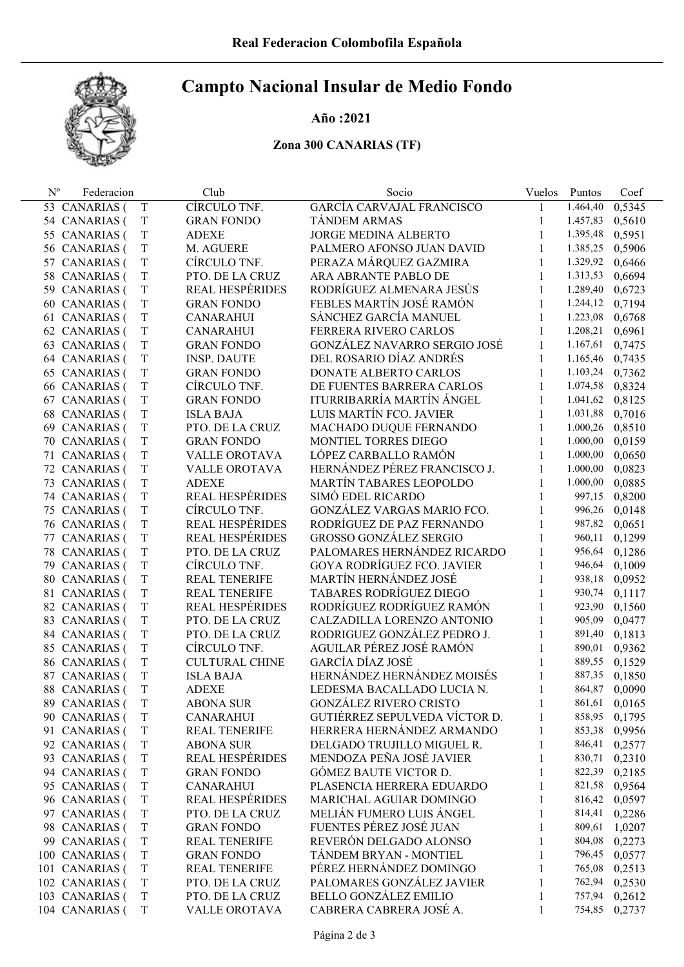## Campto Nacional Insular de Medio Fondo

### Año :2021

## Zona 300 CANARIAS (TF)

| $\mathbf{N}^{\text{o}}$ | Federacion        |             | Club                   | Socio                             | Vuelos | Puntos   | Coef          |
|-------------------------|-------------------|-------------|------------------------|-----------------------------------|--------|----------|---------------|
|                         | 53 CANARIAS (     | T           | CÍRCULO TNF.           | <b>GARCÍA CARVAJAL FRANCISCO</b>  | 1      | 1.464,40 | 0,5345        |
|                         | 54 CANARIAS (     | $\mathbf T$ | <b>GRAN FONDO</b>      | <b>TÁNDEM ARMAS</b>               | 1      | 1.457,83 | 0,5610        |
|                         | 55 CANARIAS (     | $\rm T$     | <b>ADEXE</b>           | <b>JORGE MEDINA ALBERTO</b>       | 1      | 1.395,48 | 0,5951        |
|                         | 56 CANARIAS (     | $\rm T$     | M. AGUERE              | PALMERO AFONSO JUAN DAVID         | 1      | 1.385,25 | 0,5906        |
|                         | 57 CANARIAS (     | T           | CÍRCULO TNF.           | PERAZA MÁRQUEZ GAZMIRA            | 1      | 1.329,92 | 0,6466        |
|                         | 58 CANARIAS (     | $\mathbf T$ | PTO. DE LA CRUZ        | ARA ABRANTE PABLO DE              | 1      | 1.313,53 | 0,6694        |
|                         | 59 CANARIAS (     | $\mathbf T$ | <b>REAL HESPÉRIDES</b> | RODRÍGUEZ ALMENARA JESÚS          | 1      | 1.289,40 | 0,6723        |
|                         | 60 CANARIAS (     | $\mathbf T$ | <b>GRAN FONDO</b>      | FEBLES MARTÍN JOSÉ RAMÓN          | 1      | 1.244,12 | 0,7194        |
|                         | 61 CANARIAS (     | $\mathbf T$ | <b>CANARAHUI</b>       | SÁNCHEZ GARCÍA MANUEL             | 1      | 1.223,08 | 0,6768        |
|                         | 62 CANARIAS (     | $\mathbf T$ | <b>CANARAHUI</b>       | FERRERA RIVERO CARLOS             |        | 1.208,21 | 0,6961        |
|                         | 63 CANARIAS (     | $\mathbf T$ | <b>GRAN FONDO</b>      | GONZÁLEZ NAVARRO SERGIO JOSÉ      |        | 1.167,61 | 0,7475        |
|                         | 64 CANARIAS (     | $\mathbf T$ | <b>INSP. DAUTE</b>     | DEL ROSARIO DÍAZ ANDRÉS           |        | 1.165,46 | 0,7435        |
|                         | 65 CANARIAS (     | T           | <b>GRAN FONDO</b>      | DONATE ALBERTO CARLOS             |        | 1.103,24 | 0,7362        |
|                         | 66 CANARIAS (     | $\mathbf T$ | CÍRCULO TNF.           | DE FUENTES BARRERA CARLOS         | 1      | 1.074,58 | 0,8324        |
|                         | 67 CANARIAS (     | $\mathbf T$ | <b>GRAN FONDO</b>      | ITURRIBARRÍA MARTÍN ÁNGEL         |        | 1.041,62 | 0,8125        |
|                         | 68 CANARIAS (     | $\mathbf T$ | <b>ISLA BAJA</b>       | LUIS MARTÍN FCO. JAVIER           | 1      | 1.031,88 | 0,7016        |
|                         | 69 CANARIAS (     | $\mathbf T$ | PTO. DE LA CRUZ        | MACHADO DUQUE FERNANDO            |        | 1.000,26 | 0,8510        |
|                         | 70 CANARIAS (     | $\mathbf T$ | <b>GRAN FONDO</b>      | MONTIEL TORRES DIEGO              |        | 1.000,00 | 0,0159        |
|                         | 71 CANARIAS (     | $\mathbf T$ | VALLE OROTAVA          | LÓPEZ CARBALLO RAMÓN              |        | 1.000,00 | 0,0650        |
|                         | 72 CANARIAS (     | $\mathbf T$ | VALLE OROTAVA          | HERNÁNDEZ PÉREZ FRANCISCO J.      |        | 1.000,00 | 0,0823        |
|                         | 73 CANARIAS (     | $\mathbf T$ | <b>ADEXE</b>           | MARTÍN TABARES LEOPOLDO           |        | 1.000,00 | 0,0885        |
|                         | 74 CANARIAS (     | $\mathbf T$ | <b>REAL HESPÉRIDES</b> | SIMÓ EDEL RICARDO                 |        | 997,15   | 0,8200        |
|                         | 75 CANARIAS (     | $\mathbf T$ | CÍRCULO TNF.           | GONZÁLEZ VARGAS MARIO FCO.        |        | 996,26   | 0,0148        |
|                         | 76 CANARIAS (     | $\mathbf T$ | <b>REAL HESPÉRIDES</b> | RODRÍGUEZ DE PAZ FERNANDO         | 1      | 987,82   | 0,0651        |
|                         | 77 CANARIAS (     | $\mathbf T$ | REAL HESPÉRIDES        | <b>GROSSO GONZÁLEZ SERGIO</b>     |        | 960,11   | 0,1299        |
|                         | 78 CANARIAS (     | $\mathbf T$ | PTO. DE LA CRUZ        | PALOMARES HERNÁNDEZ RICARDO       | 1      | 956,64   | 0,1286        |
|                         | 79 CANARIAS (     | $\mathbf T$ | CÍRCULO TNF.           | <b>GOYA RODRÍGUEZ FCO. JAVIER</b> | 1      | 946,64   | 0,1009        |
|                         | 80 CANARIAS (     | $\mathbf T$ | <b>REAL TENERIFE</b>   | <b>MARTÍN HERNÁNDEZ JOSÉ</b>      | 1      | 938,18   | 0,0952        |
|                         | 81 CANARIAS (     | $\mathbf T$ | <b>REAL TENERIFE</b>   | <b>TABARES RODRÍGUEZ DIEGO</b>    |        | 930,74   | 0,1117        |
|                         | 82 CANARIAS (     | $\mathbf T$ | REAL HESPÉRIDES        | RODRÍGUEZ RODRÍGUEZ RAMÓN         |        | 923,90   | 0,1560        |
|                         | 83 CANARIAS (     | $\mathbf T$ | PTO. DE LA CRUZ        | CALZADILLA LORENZO ANTONIO        |        | 905,09   | 0,0477        |
|                         | 84 CANARIAS (     | $\mathbf T$ | PTO. DE LA CRUZ        | RODRIGUEZ GONZÁLEZ PEDRO J.       |        | 891,40   | 0,1813        |
|                         | 85 CANARIAS (     | $\mathbf T$ | CÍRCULO TNF.           | AGUILAR PÉREZ JOSÉ RAMÓN          |        | 890,01   | 0,9362        |
|                         | 86 CANARIAS (     | $\mathbf T$ | <b>CULTURAL CHINE</b>  | GARCÍA DÍAZ JOSÉ                  |        | 889,55   | 0,1529        |
| 87                      | <b>CANARIAS</b> ( | T           | <b>ISLA BAJA</b>       | HERNÁNDEZ HERNÁNDEZ MOISÉS        |        | 887,35   | 0,1850        |
|                         | 88 CANARIAS (     | $\rm T$     | <b>ADEXE</b>           | LEDESMA BACALLADO LUCIA N.        |        |          | 864,87 0,0090 |
|                         | 89 CANARIAS (     | Τ           | <b>ABONA SUR</b>       | <b>GONZÁLEZ RIVERO CRISTO</b>     | 1      | 861,61   | 0,0165        |
|                         | 90 CANARIAS (     | T           | <b>CANARAHUI</b>       | GUTIÉRREZ SEPULVEDA VÍCTOR D.     |        | 858,95   | 0,1795        |
|                         | 91 CANARIAS (     | $\mathbf T$ | <b>REAL TENERIFE</b>   | HERRERA HERNÁNDEZ ARMANDO         | 1      | 853,38   | 0,9956        |
|                         | 92 CANARIAS (     | $\mathbf T$ | <b>ABONA SUR</b>       | DELGADO TRUJILLO MIGUEL R.        |        | 846,41   | 0,2577        |
|                         | 93 CANARIAS (     | $\mathbf T$ | <b>REAL HESPÉRIDES</b> | MENDOZA PEÑA JOSÉ JAVIER          | 1      | 830,71   | 0,2310        |
|                         | 94 CANARIAS (     | $\mathbf T$ | <b>GRAN FONDO</b>      | GÓMEZ BAUTE VICTOR D.             |        | 822,39   | 0,2185        |
|                         | 95 CANARIAS (     | $\mathbf T$ | <b>CANARAHUI</b>       | PLASENCIA HERRERA EDUARDO         |        | 821,58   | 0,9564        |
|                         | 96 CANARIAS (     | $\mathbf T$ | REAL HESPÉRIDES        | MARICHAL AGUIAR DOMINGO           | 1      | 816,42   | 0,0597        |
|                         | 97 CANARIAS (     | $\mathbf T$ | PTO. DE LA CRUZ        | MELIÁN FUMERO LUIS ÁNGEL          | 1      | 814,41   | 0,2286        |
|                         | 98 CANARIAS (     | $\rm T$     | <b>GRAN FONDO</b>      | FUENTES PÉREZ JOSÉ JUAN           | 1      | 809,61   | 1,0207        |
|                         | 99 CANARIAS (     | $\mathbf T$ | REAL TENERIFE          | REVERÓN DELGADO ALONSO            | 1      | 804,08   | 0,2273        |
|                         | 100 CANARIAS (    | $\rm T$     | <b>GRAN FONDO</b>      | TÁNDEM BRYAN - MONTIEL            | 1      | 796,45   | 0,0577        |
|                         | 101 CANARIAS (    | $\rm T$     | <b>REAL TENERIFE</b>   | PÉREZ HERNÁNDEZ DOMINGO           | 1      | 765,08   | 0,2513        |
|                         | 102 CANARIAS (    | $\rm T$     | PTO. DE LA CRUZ        | PALOMARES GONZÁLEZ JAVIER         | 1      | 762,94   | 0,2530        |
|                         | 103 CANARIAS (    | $\rm T$     | PTO. DE LA CRUZ        | <b>BELLO GONZÁLEZ EMILIO</b>      | 1      | 757,94   | 0,2612        |
|                         | 104 CANARIAS (    | $\mathbf T$ | VALLE OROTAVA          | CABRERA CABRERA JOSÉ A.           | 1      | 754,85   | 0,2737        |